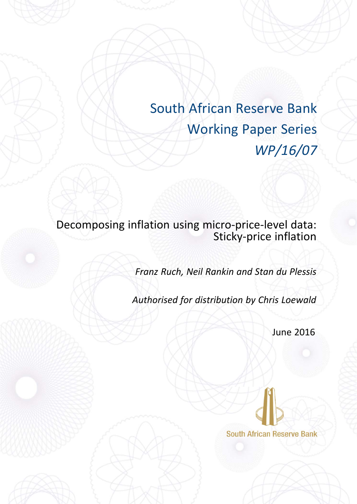# South African Reserve Bank Working Paper Series *WP/16/07*

Decomposing inflation using micro-price-level data: Sticky-price inflation

*Franz Ruch, Neil Rankin and Stan du Plessis*

*Authorised for distribution by Chris Loewald*

June 2016

**South African Reserve Bank**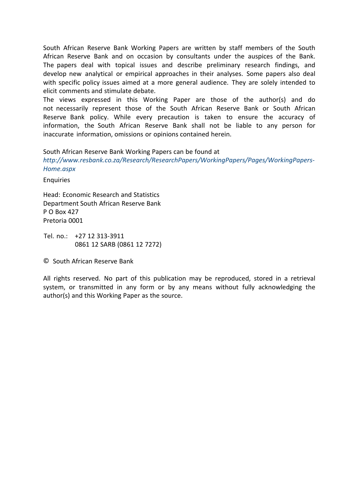South African Reserve Bank Working Papers are written by staff members of the South African Reserve Bank and on occasion by consultants under the auspices of the Bank. The papers deal with topical issues and describe preliminary research findings, and develop new analytical or empirical approaches in their analyses. Some papers also deal with specific policy issues aimed at a more general audience. They are solely intended to elicit comments and stimulate debate.

The views expressed in this Working Paper are those of the author(s) and do not necessarily represent those of the South African Reserve Bank or South African Reserve Bank policy. While every precaution is taken to ensure the accuracy of information, the South African Reserve Bank shall not be liable to any person for inaccurate information, omissions or opinions contained herein.

South African Reserve Bank Working Papers can be found at

*http://www.resbank.co.za/Research/ResearchPapers/WorkingPapers/Pages/WorkingPapers-Home.aspx*

**Enquiries** 

Head: Economic Research and Statistics Department South African Reserve Bank P O Box 427 Pretoria 0001

Tel. no.: +27 12 313-3911 0861 12 SARB (0861 12 7272)

© South African Reserve Bank

All rights reserved. No part of this publication may be reproduced, stored in a retrieval system, or transmitted in any form or by any means without fully acknowledging the author(s) and this Working Paper as the source.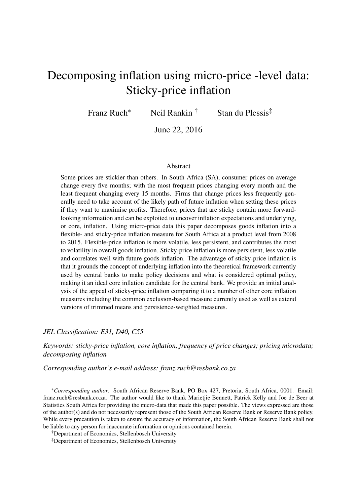# Decomposing inflation using micro-price -level data: Sticky-price inflation

Franz Ruch<sup>∗</sup> Neil Rankin † Stan du Plessis‡

June 22, 2016

#### Abstract

Some prices are stickier than others. In South Africa (SA), consumer prices on average change every five months; with the most frequent prices changing every month and the least frequent changing every 15 months. Firms that change prices less frequently generally need to take account of the likely path of future inflation when setting these prices if they want to maximise profits. Therefore, prices that are sticky contain more forwardlooking information and can be exploited to uncover inflation expectations and underlying, or core, inflation. Using micro-price data this paper decomposes goods inflation into a flexible- and sticky-price inflation measure for South Africa at a product level from 2008 to 2015. Flexible-price inflation is more volatile, less persistent, and contributes the most to volatility in overall goods inflation. Sticky-price inflation is more persistent, less volatile and correlates well with future goods inflation. The advantage of sticky-price inflation is that it grounds the concept of underlying inflation into the theoretical framework currently used by central banks to make policy decisions and what is considered optimal policy, making it an ideal core inflation candidate for the central bank. We provide an initial analysis of the appeal of sticky-price inflation comparing it to a number of other core inflation measures including the common exclusion-based measure currently used as well as extend versions of trimmed means and persistence-weighted measures.

*JEL Classification: E31, D40, C55*

*Keywords: sticky-price inflation, core inflation, frequency of price changes; pricing microdata; decomposing inflation*

*Corresponding author's e-mail address: franz.ruch@resbank.co.za*

<sup>∗</sup>*Corresponding author*. South African Reserve Bank, PO Box 427, Pretoria, South Africa, 0001. Email: franz.ruch@resbank.co.za. The author would like to thank Marietjie Bennett, Patrick Kelly and Joe de Beer at Statistics South Africa for providing the micro-data that made this paper possible. The views expressed are those of the author(s) and do not necessarily represent those of the South African Reserve Bank or Reserve Bank policy. While every precaution is taken to ensure the accuracy of information, the South African Reserve Bank shall not be liable to any person for inaccurate information or opinions contained herein.

<sup>†</sup>Department of Economics, Stellenbosch University

<sup>‡</sup>Department of Economics, Stellenbosch University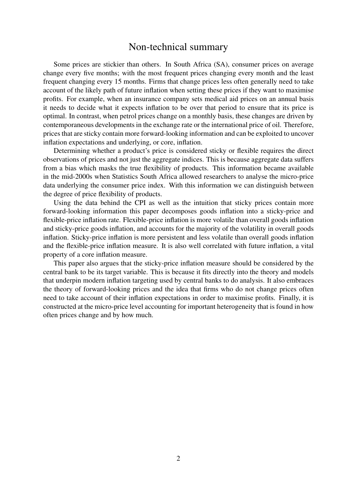# Non-technical summary

Some prices are stickier than others. In South Africa (SA), consumer prices on average change every five months; with the most frequent prices changing every month and the least frequent changing every 15 months. Firms that change prices less often generally need to take account of the likely path of future inflation when setting these prices if they want to maximise profits. For example, when an insurance company sets medical aid prices on an annual basis it needs to decide what it expects inflation to be over that period to ensure that its price is optimal. In contrast, when petrol prices change on a monthly basis, these changes are driven by contemporaneous developments in the exchange rate or the international price of oil. Therefore, prices that are sticky contain more forward-looking information and can be exploited to uncover inflation expectations and underlying, or core, inflation.

Determining whether a product's price is considered sticky or flexible requires the direct observations of prices and not just the aggregate indices. This is because aggregate data suffers from a bias which masks the true flexibility of products. This information became available in the mid-2000s when Statistics South Africa allowed researchers to analyse the micro-price data underlying the consumer price index. With this information we can distinguish between the degree of price flexibility of products.

Using the data behind the CPI as well as the intuition that sticky prices contain more forward-looking information this paper decomposes goods inflation into a sticky-price and flexible-price inflation rate. Flexible-price inflation is more volatile than overall goods inflation and sticky-price goods inflation, and accounts for the majority of the volatility in overall goods inflation. Sticky-price inflation is more persistent and less volatile than overall goods inflation and the flexible-price inflation measure. It is also well correlated with future inflation, a vital property of a core inflation measure.

This paper also argues that the sticky-price inflation measure should be considered by the central bank to be its target variable. This is because it fits directly into the theory and models that underpin modern inflation targeting used by central banks to do analysis. It also embraces the theory of forward-looking prices and the idea that firms who do not change prices often need to take account of their inflation expectations in order to maximise profits. Finally, it is constructed at the micro-price level accounting for important heterogeneity that is found in how often prices change and by how much.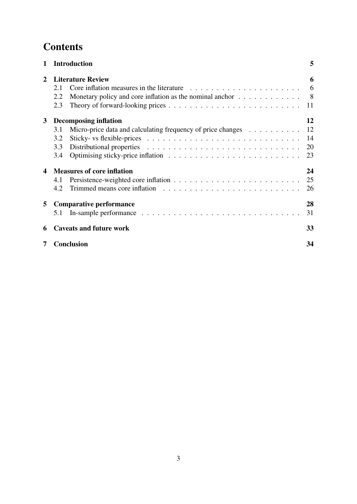# **Contents**

|              | <b>Introduction</b>                                                                                                                         | 5                          |
|--------------|---------------------------------------------------------------------------------------------------------------------------------------------|----------------------------|
| 2            | <b>Literature Review</b><br>2.1<br>Monetary policy and core inflation as the nominal anchor $\dots \dots \dots \dots$<br>2.2<br>2.3         | 6<br>6<br>8<br>11          |
| $\mathbf{3}$ | <b>Decomposing inflation</b><br>Micro-price data and calculating frequency of price changes $\dots \dots \dots$<br>3.1<br>3.2<br>3.3<br>3.4 | 12<br>12<br>14<br>20<br>23 |
| 4            | <b>Measures of core inflation</b><br>4.1<br>4.2                                                                                             | 24<br>25<br>26             |
| 5            | <b>Comparative performance</b><br>5.1                                                                                                       | 28<br>31                   |
| 6<br>7       | <b>Caveats and future work</b><br><b>Conclusion</b>                                                                                         | 33<br>34                   |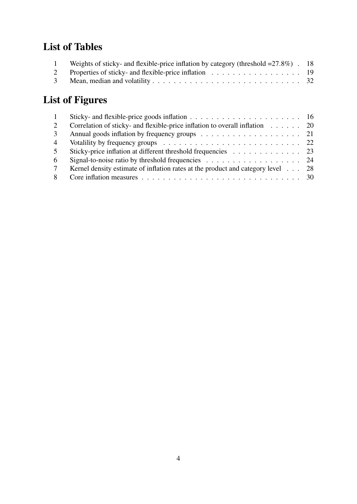# List of Tables

| Weights of sticky- and flexible-price inflation by category (threshold $=27.8\%$ ). 18 |  |
|----------------------------------------------------------------------------------------|--|
| 2 Properties of sticky- and flexible-price inflation 19                                |  |
|                                                                                        |  |

# List of Figures

| $\mathbf{1}$   | Sticky- and flexible-price goods inflation $\ldots \ldots \ldots \ldots \ldots \ldots \ldots \ldots \ldots$ 16 |  |
|----------------|----------------------------------------------------------------------------------------------------------------|--|
| 2              | Correlation of sticky- and flexible-price inflation to overall inflation 20                                    |  |
| $\mathcal{E}$  |                                                                                                                |  |
| $\overline{4}$ | Votalility by frequency groups $\ldots \ldots \ldots \ldots \ldots \ldots \ldots \ldots \ldots \ldots$ 22      |  |
| 5 <sup>1</sup> | Sticky-price inflation at different threshold frequencies 23                                                   |  |
| 6              | Signal-to-noise ratio by threshold frequencies $\ldots$ 24                                                     |  |
| $7\phantom{0}$ | Kernel density estimate of inflation rates at the product and category level 28                                |  |
| 8              |                                                                                                                |  |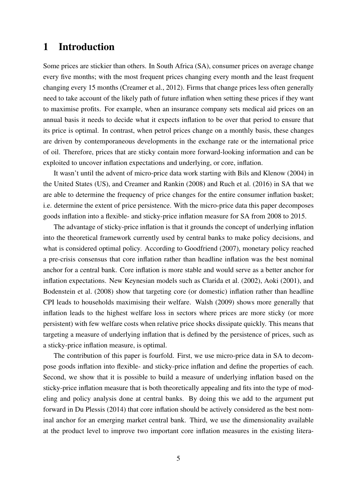# <span id="page-6-0"></span>1 Introduction

Some prices are stickier than others. In South Africa (SA), consumer prices on average change every five months; with the most frequent prices changing every month and the least frequent changing every 15 months [\(Creamer et al.,](#page-37-0) [2012\)](#page-37-0). Firms that change prices less often generally need to take account of the likely path of future inflation when setting these prices if they want to maximise profits. For example, when an insurance company sets medical aid prices on an annual basis it needs to decide what it expects inflation to be over that period to ensure that its price is optimal. In contrast, when petrol prices change on a monthly basis, these changes are driven by contemporaneous developments in the exchange rate or the international price of oil. Therefore, prices that are sticky contain more forward-looking information and can be exploited to uncover inflation expectations and underlying, or core, inflation.

It wasn't until the advent of micro-price data work starting with [Bils and Klenow](#page-36-0) [\(2004\)](#page-36-0) in the United States (US), and [Creamer and Rankin](#page-37-1) [\(2008\)](#page-37-1) and [Ruch et al.](#page-38-0) [\(2016\)](#page-38-0) in SA that we are able to determine the frequency of price changes for the entire consumer inflation basket; i.e. determine the extent of price persistence. With the micro-price data this paper decomposes goods inflation into a flexible- and sticky-price inflation measure for SA from 2008 to 2015.

The advantage of sticky-price inflation is that it grounds the concept of underlying inflation into the theoretical framework currently used by central banks to make policy decisions, and what is considered optimal policy. According to [Goodfriend](#page-37-2) [\(2007\)](#page-37-2), monetary policy reached a pre-crisis consensus that core inflation rather than headline inflation was the best nominal anchor for a central bank. Core inflation is more stable and would serve as a better anchor for inflation expectations. New Keynesian models such as [Clarida et al.](#page-36-1) [\(2002\)](#page-36-1), [Aoki](#page-36-2) [\(2001\)](#page-36-2), and [Bodenstein et al.](#page-36-3) [\(2008\)](#page-36-3) show that targeting core (or domestic) inflation rather than headline CPI leads to households maximising their welfare. [Walsh](#page-38-1) [\(2009\)](#page-38-1) shows more generally that inflation leads to the highest welfare loss in sectors where prices are more sticky (or more persistent) with few welfare costs when relative price shocks dissipate quickly. This means that targeting a measure of underlying inflation that is defined by the persistence of prices, such as a sticky-price inflation measure, is optimal.

The contribution of this paper is fourfold. First, we use micro-price data in SA to decompose goods inflation into flexible- and sticky-price inflation and define the properties of each. Second, we show that it is possible to build a measure of underlying inflation based on the sticky-price inflation measure that is both theoretically appealing and fits into the type of modeling and policy analysis done at central banks. By doing this we add to the argument put forward in [Du Plessis](#page-37-3) [\(2014\)](#page-37-3) that core inflation should be actively considered as the best nominal anchor for an emerging market central bank. Third, we use the dimensionality available at the product level to improve two important core inflation measures in the existing litera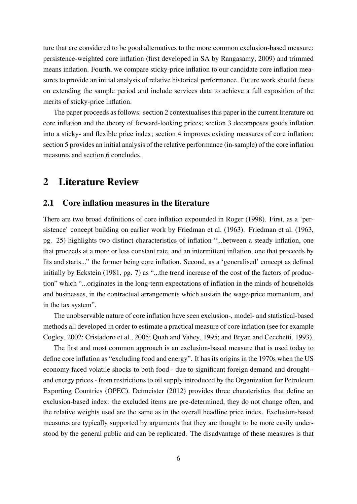ture that are considered to be good alternatives to the more common exclusion-based measure: persistence-weighted core inflation (first developed in SA by [Rangasamy,](#page-38-2) [2009\)](#page-38-2) and trimmed means inflation. Fourth, we compare sticky-price inflation to our candidate core inflation measures to provide an initial analysis of relative historical performance. Future work should focus on extending the sample period and include services data to achieve a full exposition of the merits of sticky-price inflation.

The paper proceeds as follows: section 2 contextualises this paper in the current literature on core inflation and the theory of forward-looking prices; section 3 decomposes goods inflation into a sticky- and flexible price index; section 4 improves existing measures of core inflation; section 5 provides an initial analysis of the relative performance (in-sample) of the core inflation measures and section 6 concludes.

## <span id="page-7-0"></span>2 Literature Review

#### <span id="page-7-1"></span>2.1 Core inflation measures in the literature

There are two broad definitions of core inflation expounded in [Roger](#page-38-3) [\(1998\)](#page-38-3). First, as a 'persistence' concept building on earlier work by [Friedman et al.](#page-37-4) [\(1963\)](#page-37-4). [Friedman et al.](#page-37-4) [\(1963,](#page-37-4) pg. 25) highlights two distinct characteristics of inflation "...between a steady inflation, one that proceeds at a more or less constant rate, and an intermittent inflation, one that proceeds by fits and starts..." the former being core inflation. Second, as a 'generalised' concept as defined initially by [Eckstein](#page-37-5) [\(1981,](#page-37-5) pg. 7) as "...the trend increase of the cost of the factors of production" which "...originates in the long-term expectations of inflation in the minds of households and businesses, in the contractual arrangements which sustain the wage-price momentum, and in the tax system".

The unobservable nature of core inflation have seen exclusion-, model- and statistical-based methods all developed in order to estimate a practical measure of core inflation (see for example [Cogley,](#page-37-6) [2002;](#page-37-6) [Cristadoro et al.,](#page-37-7) [2005;](#page-37-7) [Quah and Vahey,](#page-37-8) [1995;](#page-37-8) and [Bryan and Cecchetti,](#page-36-4) [1993\)](#page-36-4).

The first and most common approach is an exclusion-based measure that is used today to define core inflation as "excluding food and energy". It has its origins in the 1970s when the US economy faced volatile shocks to both food - due to significant foreign demand and drought and energy prices - from restrictions to oil supply introduced by the Organization for Petroleum Exporting Countries (OPEC). [Detmeister](#page-37-9) [\(2012\)](#page-37-9) provides three charateristics that define an exclusion-based index: the excluded items are pre-determined, they do not change often, and the relative weights used are the same as in the overall headline price index. Exclusion-based measures are typically supported by arguments that they are thought to be more easily understood by the general public and can be replicated. The disadvantage of these measures is that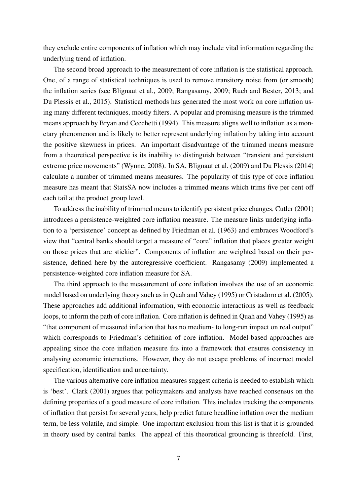they exclude entire components of inflation which may include vital information regarding the underlying trend of inflation.

The second broad approach to the measurement of core inflation is the statistical approach. One, of a range of statistical techniques is used to remove transitory noise from (or smooth) the inflation series (see [Blignaut et al.,](#page-36-5) [2009;](#page-36-5) [Rangasamy,](#page-38-2) [2009;](#page-38-2) [Ruch and Bester,](#page-38-4) [2013;](#page-38-4) and [Du Plessis et al.,](#page-37-10) [2015\)](#page-37-10). Statistical methods has generated the most work on core inflation using many different techniques, mostly filters. A popular and promising measure is the trimmed means approach by [Bryan and Cecchetti](#page-36-6) [\(1994\)](#page-36-6). This measure aligns well to inflation as a monetary phenomenon and is likely to better represent underlying inflation by taking into account the positive skewness in prices. An important disadvantage of the trimmed means measure from a theoretical perspective is its inability to distinguish between "transient and persistent extreme price movements" [\(Wynne,](#page-38-5) [2008\)](#page-38-5). In SA, [Blignaut et al.](#page-36-5) [\(2009\)](#page-36-5) and [Du Plessis](#page-37-3) [\(2014\)](#page-37-3) calculate a number of trimmed means measures. The popularity of this type of core inflation measure has meant that StatsSA now includes a trimmed means which trims five per cent off each tail at the product group level.

To address the inability of trimmed means to identify persistent price changes, [Cutler](#page-37-11) [\(2001\)](#page-37-11) introduces a persistence-weighted core inflation measure. The measure links underlying inflation to a 'persistence' concept as defined by [Friedman et al.](#page-37-4) [\(1963\)](#page-37-4) and embraces Woodford's view that "central banks should target a measure of "core" inflation that places greater weight on those prices that are stickier". Components of inflation are weighted based on their persistence, defined here by the autoregressive coefficient. [Rangasamy](#page-38-2) [\(2009\)](#page-38-2) implemented a persistence-weighted core inflation measure for SA.

The third approach to the measurement of core inflation involves the use of an economic model based on underlying theory such as in [Quah and Vahey](#page-37-8) [\(1995\)](#page-37-8) or [Cristadoro et al.](#page-37-7) [\(2005\)](#page-37-7). These approaches add additional information, with economic interactions as well as feedback loops, to inform the path of core inflation. Core inflation is defined in [Quah and Vahey](#page-37-8) [\(1995\)](#page-37-8) as "that component of measured inflation that has no medium- to long-run impact on real output" which corresponds to Friedman's definition of core inflation. Model-based approaches are appealing since the core inflation measure fits into a framework that ensures consistency in analysing economic interactions. However, they do not escape problems of incorrect model specification, identification and uncertainty.

The various alternative core inflation measures suggest criteria is needed to establish which is 'best'. [Clark](#page-36-7) [\(2001\)](#page-36-7) argues that policymakers and analysts have reached consensus on the defining properties of a good measure of core inflation. This includes tracking the components of inflation that persist for several years, help predict future headline inflation over the medium term, be less volatile, and simple. One important exclusion from this list is that it is grounded in theory used by central banks. The appeal of this theoretical grounding is threefold. First,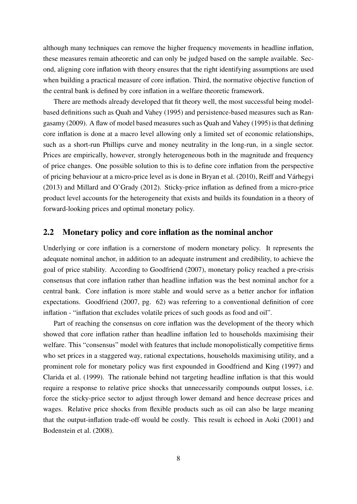although many techniques can remove the higher frequency movements in headline inflation, these measures remain atheoretic and can only be judged based on the sample available. Second, aligning core inflation with theory ensures that the right identifying assumptions are used when building a practical measure of core inflation. Third, the normative objective function of the central bank is defined by core inflation in a welfare theoretic framework.

There are methods already developed that fit theory well, the most successful being modelbased definitions such as [Quah and Vahey](#page-37-8) [\(1995\)](#page-37-8) and persistence-based measures such as [Ran](#page-38-2)[gasamy](#page-38-2) [\(2009\)](#page-38-2). A flaw of model based measures such as [Quah and Vahey](#page-37-8) [\(1995\)](#page-37-8) is that defining core inflation is done at a macro level allowing only a limited set of economic relationships, such as a short-run Phillips curve and money neutrality in the long-run, in a single sector. Prices are empirically, however, strongly heterogeneous both in the magnitude and frequency of price changes. One possible solution to this is to define core inflation from the perspective of pricing behaviour at a micro-price level as is done in [Bryan et al.](#page-36-8) [\(2010\)](#page-36-8), [Reiff and Várhegyi](#page-38-6) [\(2013\)](#page-38-6) and [Millard and O'Grady](#page-37-12) [\(2012\)](#page-37-12). Sticky-price inflation as defined from a micro-price product level accounts for the heterogeneity that exists and builds its foundation in a theory of forward-looking prices and optimal monetary policy.

#### <span id="page-9-0"></span>2.2 Monetary policy and core inflation as the nominal anchor

Underlying or core inflation is a cornerstone of modern monetary policy. It represents the adequate nominal anchor, in addition to an adequate instrument and credibility, to achieve the goal of price stability. According to [Goodfriend](#page-37-2) [\(2007\)](#page-37-2), monetary policy reached a pre-crisis consensus that core inflation rather than headline inflation was the best nominal anchor for a central bank. Core inflation is more stable and would serve as a better anchor for inflation expectations. [Goodfriend](#page-37-2) [\(2007,](#page-37-2) pg. 62) was referring to a conventional definition of core inflation - "inflation that excludes volatile prices of such goods as food and oil".

Part of reaching the consensus on core inflation was the development of the theory which showed that core inflation rather than headline inflation led to households maximising their welfare. This "consensus" model with features that include monopolistically competitive firms who set prices in a staggered way, rational expectations, households maximising utility, and a prominent role for monetary policy was first expounded in [Goodfriend and King](#page-37-13) [\(1997\)](#page-37-13) and [Clarida et al.](#page-36-9) [\(1999\)](#page-36-9). The rationale behind not targeting headline inflation is that this would require a response to relative price shocks that unnecessarily compounds output losses, i.e. force the sticky-price sector to adjust through lower demand and hence decrease prices and wages. Relative price shocks from flexible products such as oil can also be large meaning that the output-inflation trade-off would be costly. This result is echoed in [Aoki](#page-36-2) [\(2001\)](#page-36-2) and [Bodenstein et al.](#page-36-3) [\(2008\)](#page-36-3).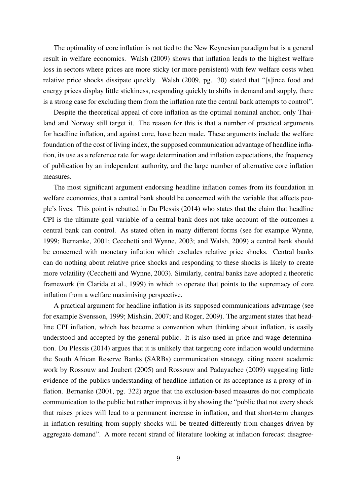The optimality of core inflation is not tied to the New Keynesian paradigm but is a general result in welfare economics. [Walsh](#page-38-1) [\(2009\)](#page-38-1) shows that inflation leads to the highest welfare loss in sectors where prices are more sticky (or more persistent) with few welfare costs when relative price shocks dissipate quickly. [Walsh](#page-38-1) [\(2009,](#page-38-1) pg. 30) stated that "[s]ince food and energy prices display little stickiness, responding quickly to shifts in demand and supply, there is a strong case for excluding them from the inflation rate the central bank attempts to control".

Despite the theoretical appeal of core inflation as the optimal nominal anchor, only Thailand and Norway still target it. The reason for this is that a number of practical arguments for headline inflation, and against core, have been made. These arguments include the welfare foundation of the cost of living index, the supposed communication advantage of headline inflation, its use as a reference rate for wage determination and inflation expectations, the frequency of publication by an independent authority, and the large number of alternative core inflation measures.

The most significant argument endorsing headline inflation comes from its foundation in welfare economics, that a central bank should be concerned with the variable that affects people's lives. This point is rebutted in [Du Plessis](#page-37-3) [\(2014\)](#page-37-3) who states that the claim that headline CPI is the ultimate goal variable of a central bank does not take account of the outcomes a central bank can control. As stated often in many different forms (see for example [Wynne,](#page-38-7) [1999;](#page-38-7) [Bernanke,](#page-36-10) [2001;](#page-36-10) [Cecchetti and Wynne,](#page-36-11) [2003;](#page-36-11) and [Walsh,](#page-38-1) [2009\)](#page-38-1) a central bank should be concerned with monetary inflation which excludes relative price shocks. Central banks can do nothing about relative price shocks and responding to these shocks is likely to create more volatility [\(Cecchetti and Wynne,](#page-36-11) [2003\)](#page-36-11). Similarly, central banks have adopted a theoretic framework (in [Clarida et al.,](#page-36-9) [1999\)](#page-36-9) in which to operate that points to the supremacy of core inflation from a welfare maximising perspective.

A practical argument for headline inflation is its supposed communications advantage (see for example [Svensson,](#page-38-8) [1999;](#page-38-8) [Mishkin,](#page-37-14) [2007;](#page-37-14) and [Roger,](#page-38-9) [2009\)](#page-38-9). The argument states that headline CPI inflation, which has become a convention when thinking about inflation, is easily understood and accepted by the general public. It is also used in price and wage determination. [Du Plessis](#page-37-3) [\(2014\)](#page-37-3) argues that it is unlikely that targeting core inflation would undermine the South African Reserve Banks (SARBs) communication strategy, citing recent academic work by [Rossouw and Joubert](#page-38-10) [\(2005\)](#page-38-10) and [Rossouw and Padayachee](#page-38-11) [\(2009\)](#page-38-11) suggesting little evidence of the publics understanding of headline inflation or its acceptance as a proxy of inflation. [Bernanke](#page-36-10) [\(2001,](#page-36-10) pg. 322) argue that the exclusion-based measures do not complicate communication to the public but rather improves it by showing the "public that not every shock that raises prices will lead to a permanent increase in inflation, and that short-term changes in inflation resulting from supply shocks will be treated differently from changes driven by aggregate demand". A more recent strand of literature looking at inflation forecast disagree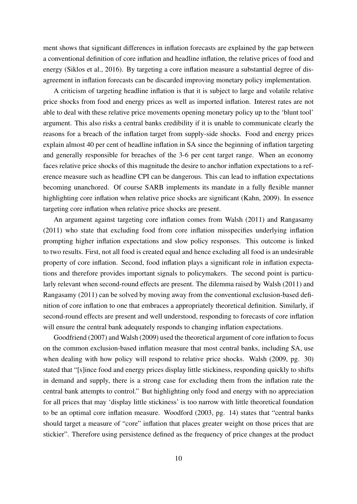ment shows that significant differences in inflation forecasts are explained by the gap between a conventional definition of core inflation and headline inflation, the relative prices of food and energy [\(Siklos et al.,](#page-38-12) [2016\)](#page-38-12). By targeting a core inflation measure a substantial degree of disagreement in inflation forecasts can be discarded improving monetary policy implementation.

A criticism of targeting headline inflation is that it is subject to large and volatile relative price shocks from food and energy prices as well as imported inflation. Interest rates are not able to deal with these relative price movements opening monetary policy up to the 'blunt tool' argument. This also risks a central banks credibility if it is unable to communicate clearly the reasons for a breach of the inflation target from supply-side shocks. Food and energy prices explain almost 40 per cent of headline inflation in SA since the beginning of inflation targeting and generally responsible for breaches of the 3-6 per cent target range. When an economy faces relative price shocks of this magnitude the desire to anchor inflation expectations to a reference measure such as headline CPI can be dangerous. This can lead to inflation expectations becoming unanchored. Of course SARB implements its mandate in a fully flexible manner highlighting core inflation when relative price shocks are significant [\(Kahn,](#page-37-15) [2009\)](#page-37-15). In essence targeting core inflation when relative price shocks are present.

An argument against targeting core inflation comes from [Walsh](#page-38-13) [\(2011\)](#page-38-13) and [Rangasamy](#page-38-14) [\(2011\)](#page-38-14) who state that excluding food from core inflation misspecifies underlying inflation prompting higher inflation expectations and slow policy responses. This outcome is linked to two results. First, not all food is created equal and hence excluding all food is an undesirable property of core inflation. Second, food inflation plays a significant role in inflation expectations and therefore provides important signals to policymakers. The second point is particularly relevant when second-round effects are present. The dilemma raised by [Walsh](#page-38-13) [\(2011\)](#page-38-13) and [Rangasamy](#page-38-14) [\(2011\)](#page-38-14) can be solved by moving away from the conventional exclusion-based definition of core inflation to one that embraces a appropriately theoretical definition. Similarly, if second-round effects are present and well understood, responding to forecasts of core inflation will ensure the central bank adequately responds to changing inflation expectations.

[Goodfriend](#page-37-2) [\(2007\)](#page-37-2) and [Walsh](#page-38-1) [\(2009\)](#page-38-1) used the theoretical argument of core inflation to focus on the common exclusion-based inflation measure that most central banks, including SA, use when dealing with how policy will respond to relative price shocks. [Walsh](#page-38-1) [\(2009,](#page-38-1) pg. 30) stated that "[s]ince food and energy prices display little stickiness, responding quickly to shifts in demand and supply, there is a strong case for excluding them from the inflation rate the central bank attempts to control." But highlighting only food and energy with no appreciation for all prices that may 'display little stickiness' is too narrow with little theoretical foundation to be an optimal core inflation measure. [Woodford](#page-38-15) [\(2003,](#page-38-15) pg. 14) states that "central banks should target a measure of "core" inflation that places greater weight on those prices that are stickier". Therefore using persistence defined as the frequency of price changes at the product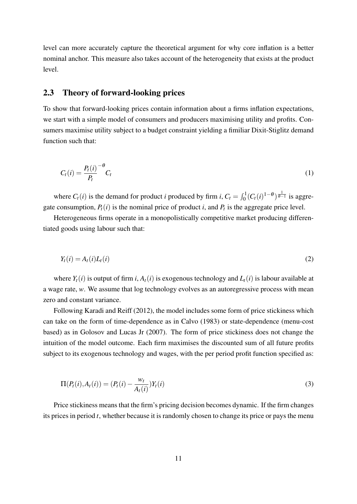level can more accurately capture the theoretical argument for why core inflation is a better nominal anchor. This measure also takes account of the heterogeneity that exists at the product level.

#### <span id="page-12-0"></span>2.3 Theory of forward-looking prices

To show that forward-looking prices contain information about a firms inflation expectations, we start with a simple model of consumers and producers maximising utility and profits. Consumers maximise utility subject to a budget constraint yielding a fimiliar Dixit-Stiglitz demand function such that:

$$
C_t(i) = \frac{P_t(i)}{P_t}^{-\theta} C_t
$$
\n(1)

where  $C_t(i)$  is the demand for product *i* produced by firm *i*,  $C_t = \int_0^1 (C_t(i)^{1-\theta})^{\frac{1}{\theta-1}}$  is aggregate consumption,  $P_t(i)$  is the nominal price of product *i*, and  $P_t$  is the aggregate price level.

Heterogeneous firms operate in a monopolistically competitive market producing differentiated goods using labour such that:

$$
Y_t(i) = A_t(i)L_t(i) \tag{2}
$$

where  $Y_t(i)$  is output of firm *i*,  $A_t(i)$  is exogenous technology and  $L_t(i)$  is labour available at a wage rate, *w*. We assume that log technology evolves as an autoregressive process with mean zero and constant variance.

Following [Karadi and Reiff](#page-37-16) [\(2012\)](#page-37-16), the model includes some form of price stickiness which can take on the form of time-dependence as in [Calvo](#page-36-12) [\(1983\)](#page-36-12) or state-dependence (menu-cost based) as in [Golosov and Lucas Jr](#page-37-17) [\(2007\)](#page-37-17). The form of price stickiness does not change the intuition of the model outcome. Each firm maximises the discounted sum of all future profits subject to its exogenous technology and wages, with the per period profit function specified as:

$$
\Pi(P_t(i), A_t(i)) = (P_t(i) - \frac{w_t}{A_t(i)})Y_t(i)
$$
\n(3)

Price stickiness means that the firm's pricing decision becomes dynamic. If the firm changes its prices in period *t*, whether because it is randomly chosen to change its price or pays the menu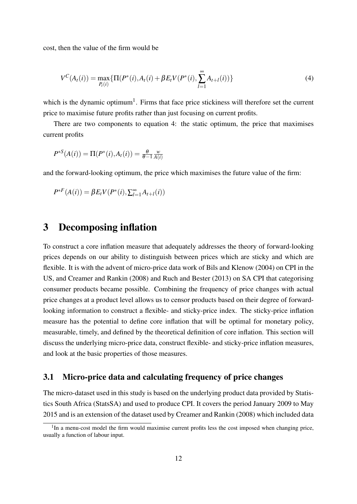<span id="page-13-3"></span>cost, then the value of the firm would be

$$
V^{C}(A_{t}(i)) = \max_{P_{t}(i)} \{ \Pi(P^{*}(i), A_{t}(i) + \beta E_{t} V(P^{*}(i), \sum_{l=1}^{\infty} A_{t+l}(i)) \}
$$
(4)

which is the dynamic optimum<sup>[1](#page-13-2)</sup>. Firms that face price stickiness will therefore set the current price to maximise future profits rather than just focusing on current profits.

There are two components to equation [4:](#page-13-3) the static optimum, the price that maximises current profits

$$
P^{*S}(A(i)) = \Pi(P^*(i), A_t(i)) = \frac{\theta}{\theta - 1} \frac{w}{A(i)}
$$

and the forward-looking optimum, the price which maximises the future value of the firm:

$$
P^{*F}(A(i)) = \beta E_t V(P^*(i), \sum_{l=1}^{\infty} A_{t+l}(i))
$$

# <span id="page-13-0"></span>3 Decomposing inflation

To construct a core inflation measure that adequately addresses the theory of forward-looking prices depends on our ability to distinguish between prices which are sticky and which are flexible. It is with the advent of micro-price data work of [Bils and Klenow](#page-36-0) [\(2004\)](#page-36-0) on CPI in the US, and [Creamer and Rankin](#page-37-1) [\(2008\)](#page-37-1) and [Ruch and Bester](#page-38-4) [\(2013\)](#page-38-4) on SA CPI that categorising consumer products became possible. Combining the frequency of price changes with actual price changes at a product level allows us to censor products based on their degree of forwardlooking information to construct a flexible- and sticky-price index. The sticky-price inflation measure has the potential to define core inflation that will be optimal for monetary policy, measurable, timely, and defined by the theoretical definition of core inflation. This section will discuss the underlying micro-price data, construct flexible- and sticky-price inflation measures, and look at the basic properties of those measures.

#### <span id="page-13-1"></span>3.1 Micro-price data and calculating frequency of price changes

The micro-dataset used in this study is based on the underlying product data provided by Statistics South Africa (StatsSA) and used to produce CPI. It covers the period January 2009 to May 2015 and is an extension of the dataset used by [Creamer and Rankin](#page-37-1) [\(2008\)](#page-37-1) which included data

<span id="page-13-2"></span><sup>&</sup>lt;sup>1</sup>In a menu-cost model the firm would maximise current profits less the cost imposed when changing price, usually a function of labour input.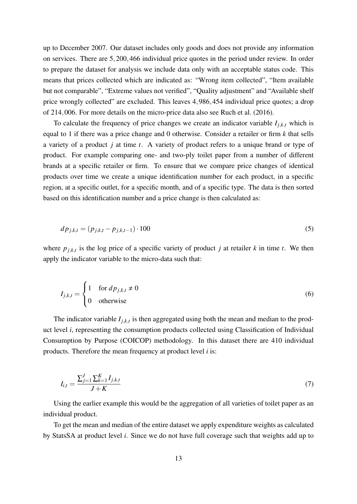up to December 2007. Our dataset includes only goods and does not provide any information on services. There are 5,200,466 individual price quotes in the period under review. In order to prepare the dataset for analysis we include data only with an acceptable status code. This means that prices collected which are indicated as: "Wrong item collected", "Item available but not comparable", "Extreme values not verified", "Quality adjustment" and "Available shelf price wrongly collected" are excluded. This leaves 4,986,454 individual price quotes; a drop of 214,006. For more details on the micro-price data also see [Ruch et al.](#page-38-0) [\(2016\)](#page-38-0).

To calculate the frequency of price changes we create an indicator variable  $I_{i,k,t}$  which is equal to 1 if there was a price change and 0 otherwise. Consider a retailer or firm *k* that sells a variety of a product *j* at time *t*. A variety of product refers to a unique brand or type of product. For example comparing one- and two-ply toilet paper from a number of different brands at a specific retailer or firm. To ensure that we compare price changes of identical products over time we create a unique identification number for each product, in a specific region, at a specific outlet, for a specific month, and of a specific type. The data is then sorted based on this identification number and a price change is then calculated as:

$$
dp_{j,k,t} = (p_{j,k,t} - p_{j,k,t-1}) \cdot 100
$$
\n(5)

where  $p_{j,k,t}$  is the log price of a specific variety of product *j* at retailer *k* in time *t*. We then apply the indicator variable to the micro-data such that:

$$
I_{j,k,t} = \begin{cases} 1 & \text{for } dp_{j,k,t} \neq 0 \\ 0 & \text{otherwise} \end{cases} \tag{6}
$$

The indicator variable  $I_{j,k,t}$  is then aggregated using both the mean and median to the product level *i*, representing the consumption products collected using Classification of Individual Consumption by Purpose (COICOP) methodology. In this dataset there are 410 individual products. Therefore the mean frequency at product level *i* is:

$$
I_{i,t} = \frac{\sum_{j=1}^{J} \sum_{k=1}^{K} I_{j,k,t}}{J+K}
$$
 (7)

Using the earlier example this would be the aggregation of all varieties of toilet paper as an individual product.

To get the mean and median of the entire dataset we apply expenditure weights as calculated by StatsSA at product level *i*. Since we do not have full coverage such that weights add up to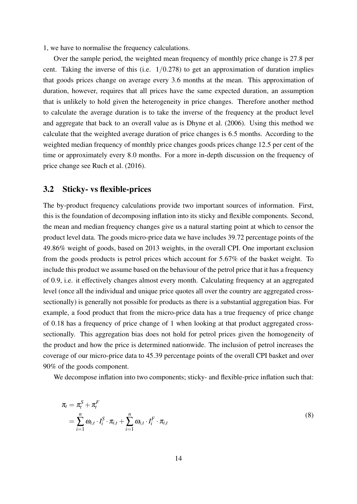1, we have to normalise the frequency calculations.

Over the sample period, the weighted mean frequency of monthly price change is 27.8 per cent. Taking the inverse of this (i.e.  $1/0.278$ ) to get an approximation of duration implies that goods prices change on average every 3.6 months at the mean. This approximation of duration, however, requires that all prices have the same expected duration, an assumption that is unlikely to hold given the heterogeneity in price changes. Therefore another method to calculate the average duration is to take the inverse of the frequency at the product level and aggregate that back to an overall value as is [Dhyne et al.](#page-37-18) [\(2006\)](#page-37-18). Using this method we calculate that the weighted average duration of price changes is 6.5 months. According to the weighted median frequency of monthly price changes goods prices change 12.5 per cent of the time or approximately every 8.0 months. For a more in-depth discussion on the frequency of price change see [Ruch et al.](#page-38-0) [\(2016\)](#page-38-0).

#### <span id="page-15-0"></span>3.2 Sticky- vs flexible-prices

The by-product frequency calculations provide two important sources of information. First, this is the foundation of decomposing inflation into its sticky and flexible components. Second, the mean and median frequency changes give us a natural starting point at which to censor the product level data. The goods micro-price data we have includes 39.72 percentage points of the 49.86% weight of goods, based on 2013 weights, in the overall CPI. One important exclusion from the goods products is petrol prices which account for 5.67% of the basket weight. To include this product we assume based on the behaviour of the petrol price that it has a frequency of 0.9, i.e. it effectively changes almost every month. Calculating frequency at an aggregated level (once all the individual and unique price quotes all over the country are aggregated crosssectionally) is generally not possible for products as there is a substantial aggregation bias. For example, a food product that from the micro-price data has a true frequency of price change of 0.18 has a frequency of price change of 1 when looking at that product aggregated crosssectionally. This aggregation bias does not hold for petrol prices given the homogeneity of the product and how the price is determined nationwide. The inclusion of petrol increases the coverage of our micro-price data to 45.39 percentage points of the overall CPI basket and over 90% of the goods component.

We decompose inflation into two components; sticky- and flexible-price inflation such that:

$$
\pi_t = \pi_t^S + \pi_t^F
$$
\n
$$
= \sum_{i=1}^n \omega_{i,t} \cdot I_i^S \cdot \pi_{i,t} + \sum_{i=1}^n \omega_{i,t} \cdot I_i^F \cdot \pi_{i,t}
$$
\n(8)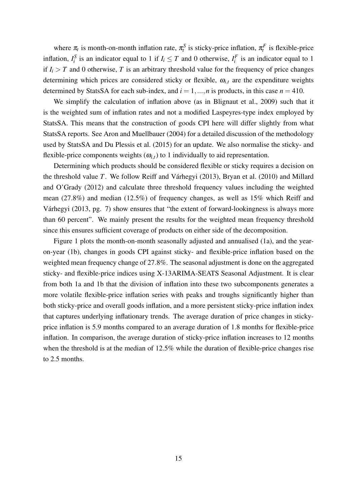where  $\pi_t$  is month-on-month inflation rate,  $\pi_t^S$  is sticky-price inflation,  $\pi_t^F$  is flexible-price inflation,  $I_i^S$  is an indicator equal to 1 if  $I_i \leq T$  and 0 otherwise,  $I_i^F$  is an indicator equal to 1 if  $I_i > T$  and 0 otherwise, *T* is an arbitrary threshold value for the frequency of price changes determining which prices are considered sticky or flexible,  $\omega_{i,t}$  are the expenditure weights determined by StatsSA for each sub-index, and  $i = 1, ..., n$  is products, in this case  $n = 410$ .

We simplify the calculation of inflation above (as in [Blignaut et al.,](#page-36-5) [2009\)](#page-36-5) such that it is the weighted sum of inflation rates and not a modified Laspeyres-type index employed by StatsSA. This means that the construction of goods CPI here will differ slightly from what StatsSA reports. See [Aron and Muellbauer](#page-36-13) [\(2004\)](#page-36-13) for a detailed discussion of the methodology used by StatsSA and [Du Plessis et al.](#page-37-10) [\(2015\)](#page-37-10) for an update. We also normalise the sticky- and flexible-price components weights  $(\omega_{i,t})$  to 1 individually to aid representation.

Determining which products should be considered flexible or sticky requires a decision on the threshold value *T*. We follow [Reiff and Várhegyi](#page-38-6) [\(2013\)](#page-38-6), [Bryan et al.](#page-36-8) [\(2010\)](#page-36-8) and [Millard](#page-37-12) [and O'Grady](#page-37-12) [\(2012\)](#page-37-12) and calculate three threshold frequency values including the weighted mean (27.8%) and median (12.5%) of frequency changes, as well as 15% which [Reiff and](#page-38-6) [Várhegyi](#page-38-6) [\(2013,](#page-38-6) pg. 7) show ensures that "the extent of forward-lookingness is always more than 60 percent". We mainly present the results for the weighted mean frequency threshold since this ensures sufficient coverage of products on either side of the decomposition.

Figure [1](#page-17-0) plots the month-on-month seasonally adjusted and annualised [\(1a\)](#page-17-0), and the yearon-year [\(1b\)](#page-17-0), changes in goods CPI against sticky- and flexible-price inflation based on the weighted mean frequency change of 27.8%. The seasonal adjustment is done on the aggregated sticky- and flexible-price indices using X-13ARIMA-SEATS Seasonal Adjustment. It is clear from both [1a](#page-17-0) and [1b](#page-17-0) that the division of inflation into these two subcomponents generates a more volatile flexible-price inflation series with peaks and troughs significantly higher than both sticky-price and overall goods inflation, and a more persistent sticky-price inflation index that captures underlying inflationary trends. The average duration of price changes in stickyprice inflation is 5.9 months compared to an average duration of 1.8 months for flexible-price inflation. In comparison, the average duration of sticky-price inflation increases to 12 months when the threshold is at the median of 12.5% while the duration of flexible-price changes rise to 2.5 months.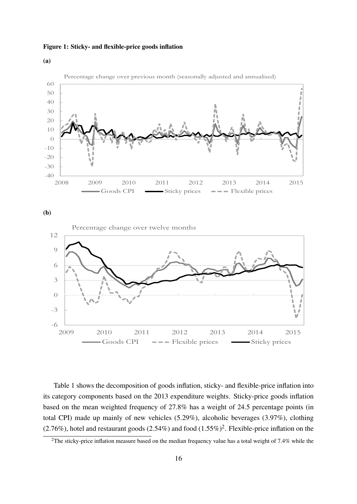<span id="page-17-0"></span>Figure 1: Sticky- and flexible-price goods inflation





(b)



Table [1](#page-19-0) shows the decomposition of goods inflation, sticky- and flexible-price inflation into its category components based on the 2013 expenditure weights. Sticky-price goods inflation based on the mean weighted frequency of 27.8% has a weight of 24.5 percentage points (in total CPI) made up mainly of new vehicles (5.29%), alcoholic beverages (3.97%), clothing  $(2.76\%)$  $(2.76\%)$  $(2.76\%)$ , hotel and restaurant goods  $(2.54\%)$  and food  $(1.55\%)^2$ . Flexible-price inflation on the

<span id="page-17-1"></span><sup>&</sup>lt;sup>2</sup>The sticky-price inflation measure based on the median frequency value has a total weight of 7.4% while the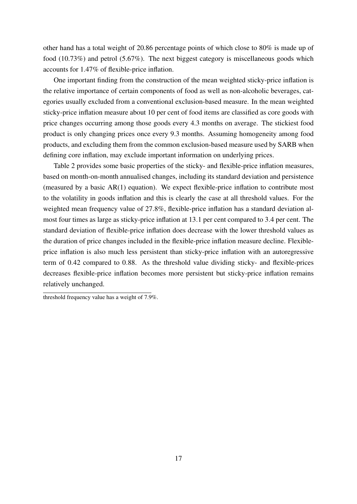other hand has a total weight of 20.86 percentage points of which close to 80% is made up of food (10.73%) and petrol (5.67%). The next biggest category is miscellaneous goods which accounts for 1.47% of flexible-price inflation.

One important finding from the construction of the mean weighted sticky-price inflation is the relative importance of certain components of food as well as non-alcoholic beverages, categories usually excluded from a conventional exclusion-based measure. In the mean weighted sticky-price inflation measure about 10 per cent of food items are classified as core goods with price changes occurring among those goods every 4.3 months on average. The stickiest food product is only changing prices once every 9.3 months. Assuming homogeneity among food products, and excluding them from the common exclusion-based measure used by SARB when defining core inflation, may exclude important information on underlying prices.

Table [2](#page-20-0) provides some basic properties of the sticky- and flexible-price inflation measures, based on month-on-month annualised changes, including its standard deviation and persistence (measured by a basic AR(1) equation). We expect flexible-price inflation to contribute most to the volatility in goods inflation and this is clearly the case at all threshold values. For the weighted mean frequency value of 27.8%, flexible-price inflation has a standard deviation almost four times as large as sticky-price inflation at 13.1 per cent compared to 3.4 per cent. The standard deviation of flexible-price inflation does decrease with the lower threshold values as the duration of price changes included in the flexible-price inflation measure decline. Flexibleprice inflation is also much less persistent than sticky-price inflation with an autoregressive term of 0.42 compared to 0.88. As the threshold value dividing sticky- and flexible-prices decreases flexible-price inflation becomes more persistent but sticky-price inflation remains relatively unchanged.

threshold frequency value has a weight of 7.9%.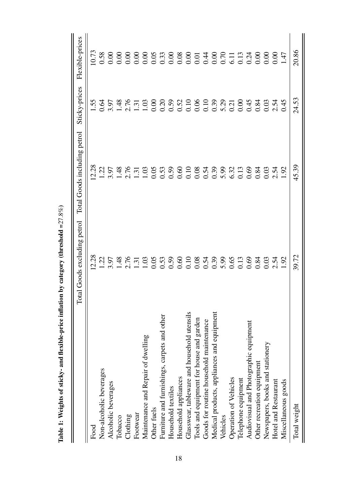<span id="page-19-0"></span>

|                                              | otal Goods excluding petrol | Total Goods including petrol | Sticky-prices | Flexible-prices |
|----------------------------------------------|-----------------------------|------------------------------|---------------|-----------------|
|                                              |                             |                              |               |                 |
| Food                                         | 2.28                        | 2.28                         | 1.55          | 0.73            |
| Non-alcoholic beverages                      |                             | $\frac{22}{2}$               | 0.64          |                 |
| Alcoholic beverages                          |                             |                              |               |                 |
| Tobacco                                      |                             |                              |               |                 |
| Clothing                                     |                             | 3.97<br>1.48<br>2.76         |               |                 |
| Footwear                                     |                             | $\overline{3}$               |               |                 |
| Maintenance and Repair of dwelling           |                             |                              |               |                 |
| Other fuels                                  |                             |                              |               |                 |
| Furniture and furnishings, carpets and other |                             |                              |               |                 |
| Household textiles                           |                             |                              |               |                 |
| Household appliances                         |                             |                              |               |                 |
| Glasswear, tableware and household utensils  |                             |                              |               |                 |
| Tools and equipment for house and garden     |                             |                              |               |                 |
| Goods for routine household maintenance      |                             |                              |               |                 |
| Medical products, appliances and equipment   |                             |                              |               |                 |
| Vehicles                                     |                             |                              |               |                 |
| Operation of Vehicles                        |                             |                              |               |                 |
| Telephone equipment                          |                             |                              |               |                 |
| Audiovisual and Photographic equipment       |                             | 0.69                         | 0.45          |                 |
| Other recreation equipment                   | 0.84                        | 0.84                         | 0.84          |                 |
| Newspapers, books and stationery             | $0.54$<br>$0.54$            | 0.03                         | 0.03          |                 |
| Hotel and Restaurant                         |                             | 2.54                         | 2.54          |                 |
| Miscellaneous goods                          |                             | $\ddot{\theta}$              | 0.45          |                 |
| Total weight                                 | 39.72                       | 45.39                        | 24.53         | 20.86           |

Table 1: Weights of sticky- and flexible-price inflation by category (threshold = $27.8\%$ ) Table 1: Weights of sticky- and flexible-price inflation by category (threshold =27.8%)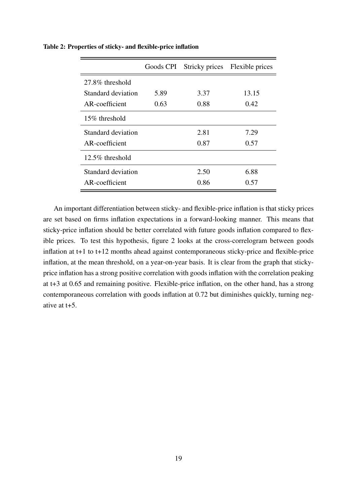|                    |      |      | Goods CPI Stricky prices Flexible prices |
|--------------------|------|------|------------------------------------------|
| $27.8\%$ threshold |      |      |                                          |
| Standard deviation | 5.89 | 3.37 | 13.15                                    |
| AR-coefficient     | 0.63 | 0.88 | 0.42                                     |
| $15\%$ threshold   |      |      |                                          |
| Standard deviation |      | 2.81 | 7.29                                     |
| AR-coefficient     |      | 0.87 | 0.57                                     |
| $12.5\%$ threshold |      |      |                                          |
| Standard deviation |      | 2.50 | 6.88                                     |
| AR-coefficient     |      | 0.86 | 0.57                                     |

<span id="page-20-0"></span>Table 2: Properties of sticky- and flexible-price inflation

An important differentiation between sticky- and flexible-price inflation is that sticky prices are set based on firms inflation expectations in a forward-looking manner. This means that sticky-price inflation should be better correlated with future goods inflation compared to flexible prices. To test this hypothesis, figure [2](#page-21-1) looks at the cross-correlogram between goods inflation at t+1 to t+12 months ahead against contemporaneous sticky-price and flexible-price inflation, at the mean threshold, on a year-on-year basis. It is clear from the graph that stickyprice inflation has a strong positive correlation with goods inflation with the correlation peaking at t+3 at 0.65 and remaining positive. Flexible-price inflation, on the other hand, has a strong contemporaneous correlation with goods inflation at 0.72 but diminishes quickly, turning negative at t+5.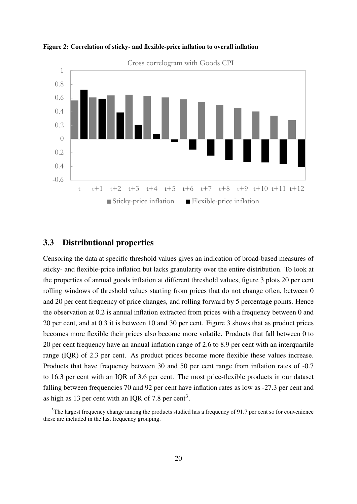

<span id="page-21-1"></span>Figure 2: Correlation of sticky- and flexible-price inflation to overall inflation

#### <span id="page-21-0"></span>3.3 Distributional properties

Censoring the data at specific threshold values gives an indication of broad-based measures of sticky- and flexible-price inflation but lacks granularity over the entire distribution. To look at the properties of annual goods inflation at different threshold values, figure [3](#page-22-0) plots 20 per cent rolling windows of threshold values starting from prices that do not change often, between 0 and 20 per cent frequency of price changes, and rolling forward by 5 percentage points. Hence the observation at 0.2 is annual inflation extracted from prices with a frequency between 0 and 20 per cent, and at 0.3 it is between 10 and 30 per cent. Figure [3](#page-22-0) shows that as product prices becomes more flexible their prices also become more volatile. Products that fall between 0 to 20 per cent frequency have an annual inflation range of 2.6 to 8.9 per cent with an interquartile range (IQR) of 2.3 per cent. As product prices become more flexible these values increase. Products that have frequency between 30 and 50 per cent range from inflation rates of -0.7 to 16.3 per cent with an IQR of 3.6 per cent. The most price-flexible products in our dataset falling between frequencies 70 and 92 per cent have inflation rates as low as -27.3 per cent and as high as 1[3](#page-21-2) per cent with an IQR of 7.8 per cent<sup>3</sup>.

<span id="page-21-2"></span> $3$ The largest frequency change among the products studied has a frequency of 91.7 per cent so for convenience these are included in the last frequency grouping.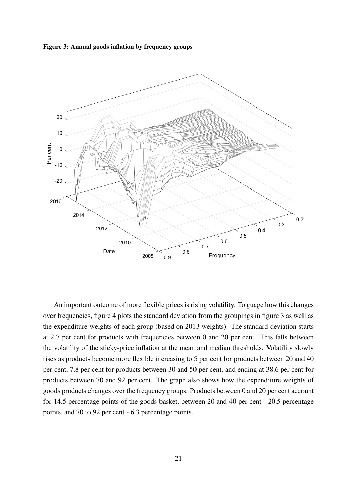<span id="page-22-0"></span>Figure 3: Annual goods inflation by frequency groups



An important outcome of more flexible prices is rising volatility. To guage how this changes over frequencies, figure [4](#page-23-0) plots the standard deviation from the groupings in figure [3](#page-22-0) as well as the expenditure weights of each group (based on 2013 weights). The standard deviation starts at 2.7 per cent for products with frequencies between 0 and 20 per cent. This falls between the volatility of the sticky-price inflation at the mean and median thresholds. Volatility slowly rises as products become more flexible increasing to 5 per cent for products between 20 and 40 per cent, 7.8 per cent for products between 30 and 50 per cent, and ending at 38.6 per cent for products between 70 and 92 per cent. The graph also shows how the expenditure weights of goods products changes over the frequency groups. Products between 0 and 20 per cent account for 14.5 percentage points of the goods basket, between 20 and 40 per cent - 20.5 percentage points, and 70 to 92 per cent - 6.3 percentage points.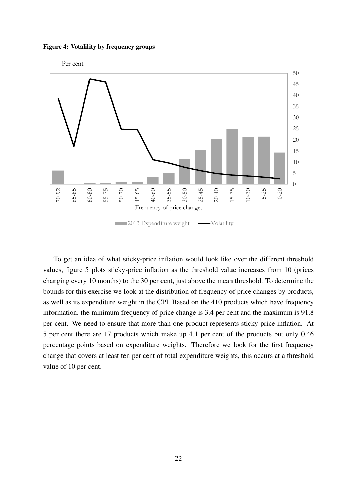#### <span id="page-23-0"></span>Figure 4: Votalility by frequency groups





To get an idea of what sticky-price inflation would look like over the different threshold values, figure [5](#page-24-1) plots sticky-price inflation as the threshold value increases from 10 (prices changing every 10 months) to the 30 per cent, just above the mean threshold. To determine the bounds for this exercise we look at the distribution of frequency of price changes by products, as well as its expenditure weight in the CPI. Based on the 410 products which have frequency information, the minimum frequency of price change is 3.4 per cent and the maximum is 91.8 per cent. We need to ensure that more than one product represents sticky-price inflation. At 5 per cent there are 17 products which make up 4.1 per cent of the products but only 0.46 percentage points based on expenditure weights. Therefore we look for the first frequency change that covers at least ten per cent of total expenditure weights, this occurs at a threshold value of 10 per cent.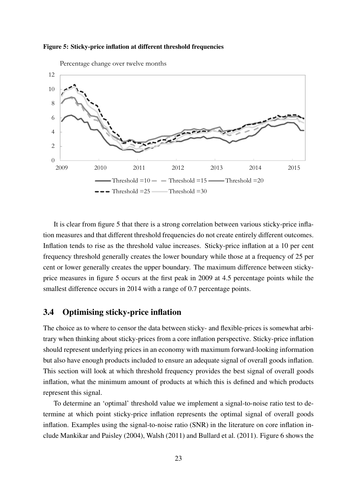<span id="page-24-1"></span>



Percentage change over twelve months

It is clear from figure [5](#page-24-1) that there is a strong correlation between various sticky-price inflation measures and that different threshold frequencies do not create entirely different outcomes. Inflation tends to rise as the threshold value increases. Sticky-price inflation at a 10 per cent frequency threshold generally creates the lower boundary while those at a frequency of 25 per cent or lower generally creates the upper boundary. The maximum difference between stickyprice measures in figure [5](#page-24-1) occurs at the first peak in 2009 at 4.5 percentage points while the smallest difference occurs in 2014 with a range of 0.7 percentage points.

#### <span id="page-24-0"></span>3.4 Optimising sticky-price inflation

The choice as to where to censor the data between sticky- and flexible-prices is somewhat arbitrary when thinking about sticky-prices from a core inflation perspective. Sticky-price inflation should represent underlying prices in an economy with maximum forward-looking information but also have enough products included to ensure an adequate signal of overall goods inflation. This section will look at which threshold frequency provides the best signal of overall goods inflation, what the minimum amount of products at which this is defined and which products represent this signal.

To determine an 'optimal' threshold value we implement a signal-to-noise ratio test to determine at which point sticky-price inflation represents the optimal signal of overall goods inflation. Examples using the signal-to-noise ratio (SNR) in the literature on core inflation include [Mankikar and Paisley](#page-37-19) [\(2004\)](#page-37-19), [Walsh](#page-38-13) [\(2011\)](#page-38-13) and [Bullard et al.](#page-36-14) [\(2011\)](#page-36-14). Figure [6](#page-25-1) shows the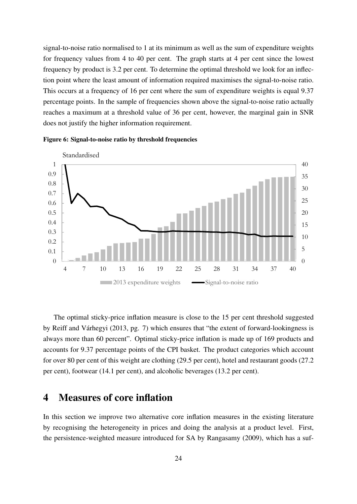signal-to-noise ratio normalised to 1 at its minimum as well as the sum of expenditure weights for frequency values from 4 to 40 per cent. The graph starts at 4 per cent since the lowest frequency by product is 3.2 per cent. To determine the optimal threshold we look for an inflection point where the least amount of information required maximises the signal-to-noise ratio. This occurs at a frequency of 16 per cent where the sum of expenditure weights is equal 9.37 percentage points. In the sample of frequencies shown above the signal-to-noise ratio actually reaches a maximum at a threshold value of 36 per cent, however, the marginal gain in SNR does not justify the higher information requirement.



<span id="page-25-1"></span>

The optimal sticky-price inflation measure is close to the 15 per cent threshold suggested by [Reiff and Várhegyi](#page-38-6) [\(2013,](#page-38-6) pg. 7) which ensures that "the extent of forward-lookingness is always more than 60 percent". Optimal sticky-price inflation is made up of 169 products and accounts for 9.37 percentage points of the CPI basket. The product categories which account for over 80 per cent of this weight are clothing (29.5 per cent), hotel and restaurant goods (27.2 per cent), footwear (14.1 per cent), and alcoholic beverages (13.2 per cent).

# <span id="page-25-0"></span>4 Measures of core inflation

In this section we improve two alternative core inflation measures in the existing literature by recognising the heterogeneity in prices and doing the analysis at a product level. First, the persistence-weighted measure introduced for SA by [Rangasamy](#page-38-2) [\(2009\)](#page-38-2), which has a suf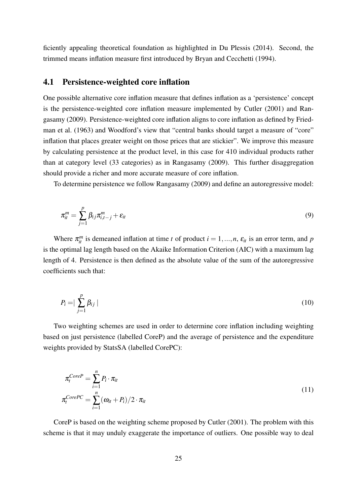ficiently appealing theoretical foundation as highlighted in [Du Plessis](#page-37-3) [\(2014\)](#page-37-3). Second, the trimmed means inflation measure first introduced by [Bryan and Cecchetti](#page-36-6) [\(1994\)](#page-36-6).

#### <span id="page-26-0"></span>4.1 Persistence-weighted core inflation

One possible alternative core inflation measure that defines inflation as a 'persistence' concept is the persistence-weighted core inflation measure implemented by [Cutler](#page-37-11) [\(2001\)](#page-37-11) and [Ran](#page-38-2)[gasamy](#page-38-2) [\(2009\)](#page-38-2). Persistence-weighted core inflation aligns to core inflation as defined by [Fried](#page-37-4)[man et al.](#page-37-4) [\(1963\)](#page-37-4) and Woodford's view that "central banks should target a measure of "core" inflation that places greater weight on those prices that are stickier". We improve this measure by calculating persistence at the product level, in this case for 410 individual products rather than at category level (33 categories) as in [Rangasamy](#page-38-2) [\(2009\)](#page-38-2). This further disaggregation should provide a richer and more accurate measure of core inflation.

To determine persistence we follow [Rangasamy](#page-38-2) [\(2009\)](#page-38-2) and define an autoregressive model:

$$
\pi_{it}^m = \sum_{j=1}^p \beta_{ij} \pi_{i,t-j}^m + \varepsilon_{it}
$$
\n(9)

Where  $\pi_{it}^{m}$  is demeaned inflation at time *t* of product  $i = 1, ..., n$ ,  $\varepsilon_{it}$  is an error term, and *p* is the optimal lag length based on the Akaike Information Criterion (AIC) with a maximum lag length of 4. Persistence is then defined as the absolute value of the sum of the autoregressive coefficients such that:

$$
P_i = \left| \sum_{j=1}^p \beta_{ij} \right| \tag{10}
$$

Two weighting schemes are used in order to determine core inflation including weighting based on just persistence (labelled CoreP) and the average of persistence and the expenditure weights provided by StatsSA (labelled CorePC):

<span id="page-26-1"></span>
$$
\pi_t^{CoreP} = \sum_{i=1}^n P_i \cdot \pi_{it}
$$
\n
$$
\pi_t^{CorePC} = \sum_{i=1}^n (\omega_{it} + P_i)/2 \cdot \pi_{it}
$$
\n(11)

CoreP is based on the weighting scheme proposed by [Cutler](#page-37-11) [\(2001\)](#page-37-11). The problem with this scheme is that it may unduly exaggerate the importance of outliers. One possible way to deal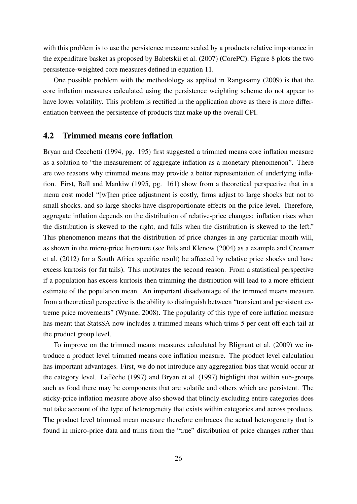with this problem is to use the persistence measure scaled by a products relative importance in the expenditure basket as proposed by [Babetskii et al.](#page-36-15) [\(2007\)](#page-36-15) (CorePC). Figure [8](#page-31-0) plots the two persistence-weighted core measures defined in equation [11.](#page-26-1)

One possible problem with the methodology as applied in [Rangasamy](#page-38-2) [\(2009\)](#page-38-2) is that the core inflation measures calculated using the persistence weighting scheme do not appear to have lower volatility. This problem is rectified in the application above as there is more differentiation between the persistence of products that make up the overall CPI.

#### <span id="page-27-0"></span>4.2 Trimmed means core inflation

[Bryan and Cecchetti](#page-36-6) [\(1994,](#page-36-6) pg. 195) first suggested a trimmed means core inflation measure as a solution to "the measurement of aggregate inflation as a monetary phenomenon". There are two reasons why trimmed means may provide a better representation of underlying inflation. First, [Ball and Mankiw](#page-36-16) [\(1995,](#page-36-16) pg. 161) show from a theoretical perspective that in a menu cost model "[w]hen price adjustment is costly, firms adjust to large shocks but not to small shocks, and so large shocks have disproportionate effects on the price level. Therefore, aggregate inflation depends on the distribution of relative-price changes: inflation rises when the distribution is skewed to the right, and falls when the distribution is skewed to the left." This phenomenon means that the distribution of price changes in any particular month will, as shown in the micro-price literature (see [Bils and Klenow](#page-36-0) [\(2004\)](#page-36-0) as a example and [Creamer](#page-37-0) [et al.](#page-37-0) [\(2012\)](#page-37-0) for a South Africa specific result) be affected by relative price shocks and have excess kurtosis (or fat tails). This motivates the second reason. From a statistical perspective if a population has excess kurtosis then trimming the distribution will lead to a more efficient estimate of the population mean. An important disadvantage of the trimmed means measure from a theoretical perspective is the ability to distinguish between "transient and persistent extreme price movements" [\(Wynne,](#page-38-5) [2008\)](#page-38-5). The popularity of this type of core inflation measure has meant that StatsSA now includes a trimmed means which trims 5 per cent off each tail at the product group level.

To improve on the trimmed means measures calculated by [Blignaut et al.](#page-36-5) [\(2009\)](#page-36-5) we introduce a product level trimmed means core inflation measure. The product level calculation has important advantages. First, we do not introduce any aggregation bias that would occur at the category level. [Laflèche](#page-37-20) [\(1997\)](#page-37-20) and [Bryan et al.](#page-36-17) [\(1997\)](#page-36-17) highlight that within sub-groups such as food there may be components that are volatile and others which are persistent. The sticky-price inflation measure above also showed that blindly excluding entire categories does not take account of the type of heterogeneity that exists within categories and across products. The product level trimmed mean measure therefore embraces the actual heterogeneity that is found in micro-price data and trims from the "true" distribution of price changes rather than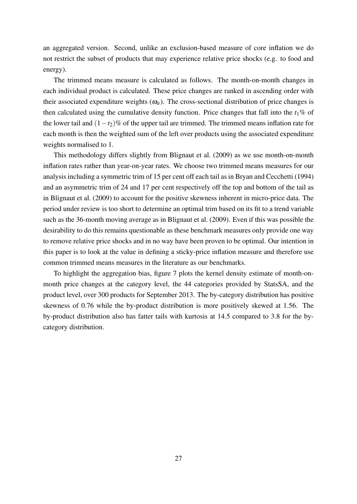an aggregated version. Second, unlike an exclusion-based measure of core inflation we do not restrict the subset of products that may experience relative price shocks (e.g. to food and energy).

The trimmed means measure is calculated as follows. The month-on-month changes in each individual product is calculated. These price changes are ranked in ascending order with their associated expenditure weights  $(\omega_{it})$ . The cross-sectional distribution of price changes is then calculated using the cumulative density function. Price changes that fall into the  $t_1\%$  of the lower tail and  $(1-t_2)$ % of the upper tail are trimmed. The trimmed means inflation rate for each month is then the weighted sum of the left over products using the associated expenditure weights normalised to 1.

This methodology differs slightly from [Blignaut et al.](#page-36-5) [\(2009\)](#page-36-5) as we use month-on-month inflation rates rather than year-on-year rates. We choose two trimmed means measures for our analysis including a symmetric trim of 15 per cent off each tail as in [Bryan and Cecchetti](#page-36-6) [\(1994\)](#page-36-6) and an asymmetric trim of 24 and 17 per cent respectively off the top and bottom of the tail as in [Blignaut et al.](#page-36-5) [\(2009\)](#page-36-5) to account for the positive skewness inherent in micro-price data. The period under review is too short to determine an optimal trim based on its fit to a trend variable such as the 36-month moving average as in [Blignaut et al.](#page-36-5) [\(2009\)](#page-36-5). Even if this was possible the desirability to do this remains questionable as these benchmark measures only provide one way to remove relative price shocks and in no way have been proven to be optimal. Our intention in this paper is to look at the value in defining a sticky-price inflation measure and therefore use common trimmed means measures in the literature as our benchmarks.

To highlight the aggregation bias, figure [7](#page-29-1) plots the kernel density estimate of month-onmonth price changes at the category level, the 44 categories provided by StatsSA, and the product level, over 300 products for September 2013. The by-category distribution has positive skewness of 0.76 while the by-product distribution is more positively skewed at 1.56. The by-product distribution also has fatter tails with kurtosis at 14.5 compared to 3.8 for the bycategory distribution.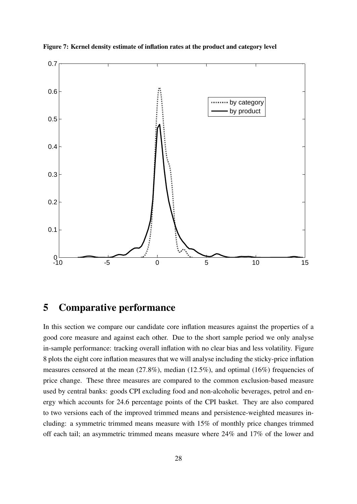

<span id="page-29-1"></span>Figure 7: Kernel density estimate of inflation rates at the product and category level

# <span id="page-29-0"></span>5 Comparative performance

In this section we compare our candidate core inflation measures against the properties of a good core measure and against each other. Due to the short sample period we only analyse in-sample performance: tracking overall inflation with no clear bias and less volatility. Figure [8](#page-31-0) plots the eight core inflation measures that we will analyse including the sticky-price inflation measures censored at the mean (27.8%), median (12.5%), and optimal (16%) frequencies of price change. These three measures are compared to the common exclusion-based measure used by central banks: goods CPI excluding food and non-alcoholic beverages, petrol and energy which accounts for 24.6 percentage points of the CPI basket. They are also compared to two versions each of the improved trimmed means and persistence-weighted measures including: a symmetric trimmed means measure with 15% of monthly price changes trimmed off each tail; an asymmetric trimmed means measure where 24% and 17% of the lower and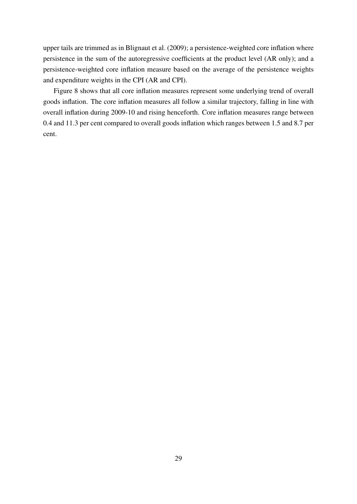upper tails are trimmed as in [Blignaut et al.](#page-36-5) [\(2009\)](#page-36-5); a persistence-weighted core inflation where persistence in the sum of the autoregressive coefficients at the product level (AR only); and a persistence-weighted core inflation measure based on the average of the persistence weights and expenditure weights in the CPI (AR and CPI).

Figure [8](#page-31-0) shows that all core inflation measures represent some underlying trend of overall goods inflation. The core inflation measures all follow a similar trajectory, falling in line with overall inflation during 2009-10 and rising henceforth. Core inflation measures range between 0.4 and 11.3 per cent compared to overall goods inflation which ranges between 1.5 and 8.7 per cent.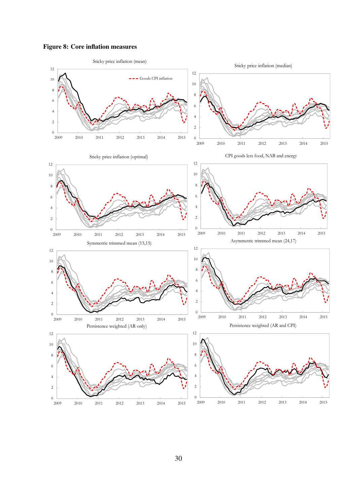<span id="page-31-0"></span>Figure 8: Core inflation measures

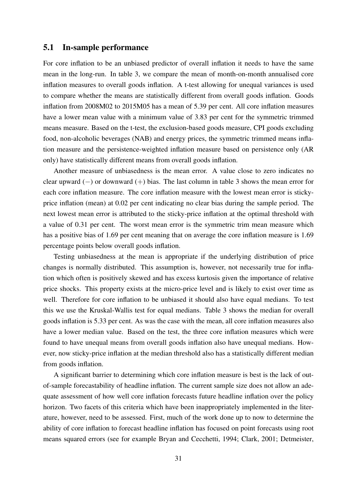#### <span id="page-32-0"></span>5.1 In-sample performance

For core inflation to be an unbiased predictor of overall inflation it needs to have the same mean in the long-run. In table [3,](#page-33-0) we compare the mean of month-on-month annualised core inflation measures to overall goods inflation. A t-test allowing for unequal variances is used to compare whether the means are statistically different from overall goods inflation. Goods inflation from 2008M02 to 2015M05 has a mean of 5.39 per cent. All core inflation measures have a lower mean value with a minimum value of 3.83 per cent for the symmetric trimmed means measure. Based on the t-test, the exclusion-based goods measure, CPI goods excluding food, non-alcoholic beverages (NAB) and energy prices, the symmetric trimmed means inflation measure and the persistence-weighted inflation measure based on persistence only (AR only) have statistically different means from overall goods inflation.

Another measure of unbiasedness is the mean error. A value close to zero indicates no clear upward (−) or downward (+) bias. The last column in table [3](#page-33-0) shows the mean error for each core inflation measure. The core inflation measure with the lowest mean error is stickyprice inflation (mean) at 0.02 per cent indicating no clear bias during the sample period. The next lowest mean error is attributed to the sticky-price inflation at the optimal threshold with a value of 0.31 per cent. The worst mean error is the symmetric trim mean measure which has a positive bias of 1.69 per cent meaning that on average the core inflation measure is 1.69 percentage points below overall goods inflation.

Testing unbiasedness at the mean is appropriate if the underlying distribution of price changes is normally distributed. This assumption is, however, not necessarily true for inflation which often is positively skewed and has excess kurtosis given the importance of relative price shocks. This property exists at the micro-price level and is likely to exist over time as well. Therefore for core inflation to be unbiased it should also have equal medians. To test this we use the Kruskal-Wallis test for equal medians. Table [3](#page-33-0) shows the median for overall goods inflation is 5.33 per cent. As was the case with the mean, all core inflation measures also have a lower median value. Based on the test, the three core inflation measures which were found to have unequal means from overall goods inflation also have unequal medians. However, now sticky-price inflation at the median threshold also has a statistically different median from goods inflation.

A significant barrier to determining which core inflation measure is best is the lack of outof-sample forecastability of headline inflation. The current sample size does not allow an adequate assessment of how well core inflation forecasts future headline inflation over the policy horizon. Two facets of this criteria which have been inappropriately implemented in the literature, however, need to be assessed. First, much of the work done up to now to determine the ability of core inflation to forecast headline inflation has focused on point forecasts using root means squared errors (see for example [Bryan and Cecchetti,](#page-36-6) [1994;](#page-36-6) [Clark,](#page-36-7) [2001;](#page-36-7) [Detmeister,](#page-37-9)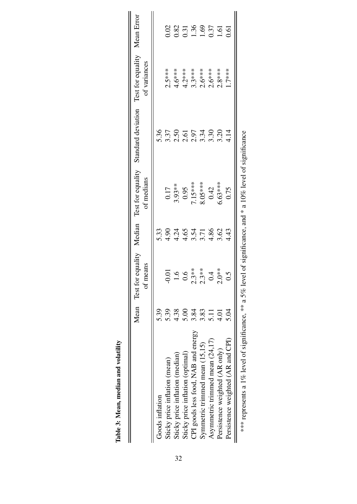|                                                                                                             |      | of means |      | of medians | Mean Test for equality Median Test for equality Standard deviation Test for equality Mean Error | of variances |                |
|-------------------------------------------------------------------------------------------------------------|------|----------|------|------------|-------------------------------------------------------------------------------------------------|--------------|----------------|
|                                                                                                             |      |          |      |            |                                                                                                 |              |                |
| Goods inflation                                                                                             | 5.39 |          | 5.33 |            | 5.36                                                                                            |              |                |
| Sticky price inflation (mean)                                                                               | 5.39 | $-0.01$  | 4.90 | 0.17       | 3.37                                                                                            | $2.5***$     | 0.02           |
| Sticky price inflation (median)                                                                             | 4.38 |          | 4.24 | $3.93**$   | 2.50                                                                                            | $4.6***$     | 0.82           |
| Sticky price inflation (optimal)                                                                            | 5.00 |          | 4.65 | 0.95       | 2.61                                                                                            | $4.2***$     | 0.31           |
| CPI goods less food, NAB and energy                                                                         | 3.84 | $2.3**$  | 3.54 | 7.15***    | 2.97                                                                                            | $3.3***$     | 1.36           |
| Symmetric trimmed mean (15,15)                                                                              | 3.83 | $2.3**$  | 3.71 | 8.05***    | 3.34                                                                                            | $2.6***$     |                |
| Asymmetric trimmed mean (24,17)                                                                             | 5.11 |          | 4.86 | 0.42       |                                                                                                 | $2.6***$     | $0.37$<br>1.61 |
| Persistence weighted (AR only)                                                                              | 4.01 | $2.0**$  | 3.62 | $6.63***$  | 3.20                                                                                            | $2.8***$     |                |
| Persistence weighted (AR and CPI)                                                                           | 5.04 |          | 4.43 | 0.75       | 4.14                                                                                            | $1.7***$     | 0.61           |
| *** represents a 1% level of significance, ** a 5% level of significance, and * a 10% level of significance |      |          |      |            |                                                                                                 |              |                |

<span id="page-33-0"></span>Table 3: Mean, median and volatility Table 3: Mean, median and volatility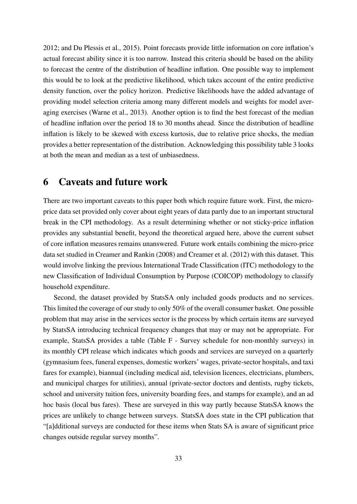[2012;](#page-37-9) and [Du Plessis et al.,](#page-37-10) [2015\)](#page-37-10). Point forecasts provide little information on core inflation's actual forecast ability since it is too narrow. Instead this criteria should be based on the ability to forecast the centre of the distribution of headline inflation. One possible way to implement this would be to look at the predictive likelihood, which takes account of the entire predictive density function, over the policy horizon. Predictive likelihoods have the added advantage of providing model selection criteria among many different models and weights for model averaging exercises [\(Warne et al.,](#page-38-16) [2013\)](#page-38-16). Another option is to find the best forecast of the median of headline inflation over the period 18 to 30 months ahead. Since the distribution of headline inflation is likely to be skewed with excess kurtosis, due to relative price shocks, the median provides a better representation of the distribution. Acknowledging this possibility table [3](#page-33-0) looks at both the mean and median as a test of unbiasedness.

# <span id="page-34-0"></span>6 Caveats and future work

There are two important caveats to this paper both which require future work. First, the microprice data set provided only cover about eight years of data partly due to an important structural break in the CPI methodology. As a result determining whether or not sticky-price inflation provides any substantial benefit, beyond the theoretical argued here, above the current subset of core inflation measures remains unanswered. Future work entails combining the micro-price data set studied in [Creamer and Rankin](#page-37-1) [\(2008\)](#page-37-1) and [Creamer et al.](#page-37-0) [\(2012\)](#page-37-0) with this dataset. This would involve linking the previous International Trade Classification (ITC) methodology to the new Classification of Individual Consumption by Purpose (COICOP) methodology to classify household expenditure.

Second, the dataset provided by StatsSA only included goods products and no services. This limited the coverage of our study to only 50% of the overall consumer basket. One possible problem that may arise in the services sector is the process by which certain items are surveyed by StatsSA introducing technical frequency changes that may or may not be appropriate. For example, StatsSA provides a table (Table F - Survey schedule for non-monthly surveys) in its monthly CPI release which indicates which goods and services are surveyed on a quarterly (gymnasium fees, funeral expenses, domestic workers' wages, private-sector hospitals, and taxi fares for example), biannual (including medical aid, television licences, electricians, plumbers, and municipal charges for utilities), annual (private-sector doctors and dentists, rugby tickets, school and university tuition fees, university boarding fees, and stamps for example), and an ad hoc basis (local bus fares). These are surveyed in this way partly because StatsSA knows the prices are unlikely to change between surveys. StatsSA does state in the CPI publication that "[a]dditional surveys are conducted for these items when Stats SA is aware of significant price changes outside regular survey months".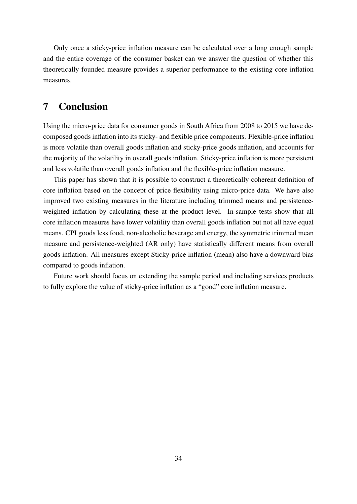Only once a sticky-price inflation measure can be calculated over a long enough sample and the entire coverage of the consumer basket can we answer the question of whether this theoretically founded measure provides a superior performance to the existing core inflation measures.

# <span id="page-35-0"></span>7 Conclusion

Using the micro-price data for consumer goods in South Africa from 2008 to 2015 we have decomposed goods inflation into its sticky- and flexible price components. Flexible-price inflation is more volatile than overall goods inflation and sticky-price goods inflation, and accounts for the majority of the volatility in overall goods inflation. Sticky-price inflation is more persistent and less volatile than overall goods inflation and the flexible-price inflation measure.

This paper has shown that it is possible to construct a theoretically coherent definition of core inflation based on the concept of price flexibility using micro-price data. We have also improved two existing measures in the literature including trimmed means and persistenceweighted inflation by calculating these at the product level. In-sample tests show that all core inflation measures have lower volatility than overall goods inflation but not all have equal means. CPI goods less food, non-alcoholic beverage and energy, the symmetric trimmed mean measure and persistence-weighted (AR only) have statistically different means from overall goods inflation. All measures except Sticky-price inflation (mean) also have a downward bias compared to goods inflation.

Future work should focus on extending the sample period and including services products to fully explore the value of sticky-price inflation as a "good" core inflation measure.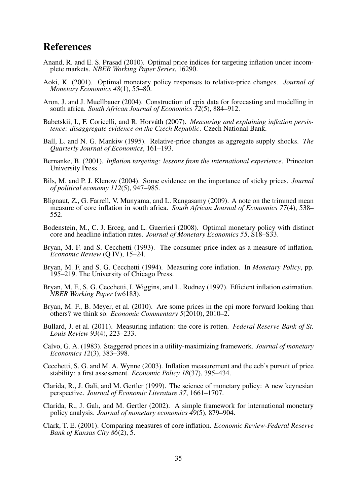### References

- Anand, R. and E. S. Prasad (2010). Optimal price indices for targeting inflation under incomplete markets. *NBER Working Paper Series*, 16290.
- <span id="page-36-2"></span>Aoki, K. (2001). Optimal monetary policy responses to relative-price changes. *Journal of Monetary Economics 48*(1), 55–80.
- <span id="page-36-13"></span>Aron, J. and J. Muellbauer (2004). Construction of cpix data for forecasting and modelling in south africa. *South African Journal of Economics 72*(5), 884–912.
- <span id="page-36-15"></span>Babetskii, I., F. Coricelli, and R. Horváth (2007). *Measuring and explaining inflation persistence: disaggregate evidence on the Czech Republic*. Czech National Bank.
- <span id="page-36-16"></span>Ball, L. and N. G. Mankiw (1995). Relative-price changes as aggregate supply shocks. *The Quarterly Journal of Economics*, 161–193.
- <span id="page-36-10"></span>Bernanke, B. (2001). *Inflation targeting: lessons from the international experience*. Princeton University Press.
- <span id="page-36-0"></span>Bils, M. and P. J. Klenow (2004). Some evidence on the importance of sticky prices. *Journal of political economy 112*(5), 947–985.
- <span id="page-36-5"></span>Blignaut, Z., G. Farrell, V. Munyama, and L. Rangasamy (2009). A note on the trimmed mean measure of core inflation in south africa. *South African Journal of Economics 77*(4), 538– 552.
- <span id="page-36-3"></span>Bodenstein, M., C. J. Erceg, and L. Guerrieri (2008). Optimal monetary policy with distinct core and headline inflation rates. *Journal of Monetary Economics 55*, S18–S33.
- <span id="page-36-4"></span>Bryan, M. F. and S. Cecchetti (1993). The consumer price index as a measure of inflation. *Economic Review* (Q IV), 15–24.
- <span id="page-36-6"></span>Bryan, M. F. and S. G. Cecchetti (1994). Measuring core inflation. In *Monetary Policy*, pp. 195–219. The University of Chicago Press.
- <span id="page-36-17"></span>Bryan, M. F., S. G. Cecchetti, I. Wiggins, and L. Rodney (1997). Efficient inflation estimation. *NBER Working Paper* (w6183).
- <span id="page-36-8"></span>Bryan, M. F., B. Meyer, et al. (2010). Are some prices in the cpi more forward looking than others? we think so. *Economic Commentary 5*(2010), 2010–2.
- <span id="page-36-14"></span>Bullard, J. et al. (2011). Measuring inflation: the core is rotten. *Federal Reserve Bank of St. Louis Review 93*(4), 223–233.
- <span id="page-36-12"></span>Calvo, G. A. (1983). Staggered prices in a utility-maximizing framework. *Journal of monetary Economics 12*(3), 383–398.
- <span id="page-36-11"></span>Cecchetti, S. G. and M. A. Wynne (2003). Inflation measurement and the ecb's pursuit of price stability: a first assessment. *Economic Policy 18*(37), 395–434.
- <span id="page-36-9"></span>Clarida, R., J. Gali, and M. Gertler (1999). The science of monetary policy: A new keynesian perspective. *Journal of Economic Literature 37*, 1661–1707.
- <span id="page-36-1"></span>Clarida, R., J. Galı, and M. Gertler (2002). A simple framework for international monetary policy analysis. *Journal of monetary economics 49*(5), 879–904.
- <span id="page-36-7"></span>Clark, T. E. (2001). Comparing measures of core inflation. *Economic Review-Federal Reserve Bank of Kansas City 86*(2), 5.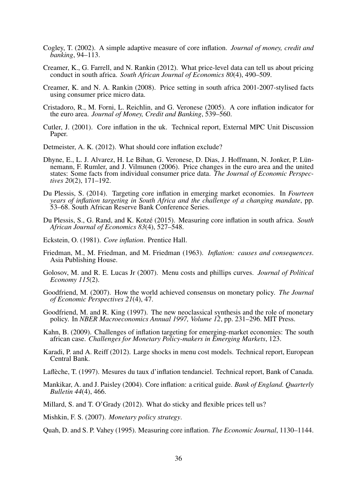- <span id="page-37-6"></span>Cogley, T. (2002). A simple adaptive measure of core inflation. *Journal of money, credit and banking*, 94–113.
- <span id="page-37-0"></span>Creamer, K., G. Farrell, and N. Rankin (2012). What price-level data can tell us about pricing conduct in south africa. *South African Journal of Economics 80*(4), 490–509.
- <span id="page-37-1"></span>Creamer, K. and N. A. Rankin (2008). Price setting in south africa 2001-2007-stylised facts using consumer price micro data.
- <span id="page-37-7"></span>Cristadoro, R., M. Forni, L. Reichlin, and G. Veronese (2005). A core inflation indicator for the euro area. *Journal of Money, Credit and Banking*, 539–560.
- <span id="page-37-11"></span>Cutler, J. (2001). Core inflation in the uk. Technical report, External MPC Unit Discussion Paper.
- <span id="page-37-9"></span>Detmeister, A. K. (2012). What should core inflation exclude?
- <span id="page-37-18"></span>Dhyne, E., L. J. Alvarez, H. Le Bihan, G. Veronese, D. Dias, J. Hoffmann, N. Jonker, P. Lünnemann, F. Rumler, and J. Vilmunen (2006). Price changes in the euro area and the united states: Some facts from individual consumer price data. *The Journal of Economic Perspectives 20*(2), 171–192.
- <span id="page-37-3"></span>Du Plessis, S. (2014). Targeting core inflation in emerging market economies. In *Fourteen years of inflation targeting in South Africa and the challenge of a changing mandate*, pp. 53–68. South African Reserve Bank Conference Series.
- <span id="page-37-10"></span>Du Plessis, S., G. Rand, and K. Kotzé (2015). Measuring core inflation in south africa. *South African Journal of Economics 83*(4), 527–548.
- <span id="page-37-5"></span>Eckstein, O. (1981). *Core inflation*. Prentice Hall.
- <span id="page-37-4"></span>Friedman, M., M. Friedman, and M. Friedman (1963). *Inflation: causes and consequences*. Asia Publishing House.
- <span id="page-37-17"></span>Golosov, M. and R. E. Lucas Jr (2007). Menu costs and phillips curves. *Journal of Political Economy 115*(2).
- <span id="page-37-2"></span>Goodfriend, M. (2007). How the world achieved consensus on monetary policy. *The Journal of Economic Perspectives 21*(4), 47.
- <span id="page-37-13"></span>Goodfriend, M. and R. King (1997). The new neoclassical synthesis and the role of monetary policy. In *NBER Macroeconomics Annual 1997, Volume 12*, pp. 231–296. MIT Press.
- <span id="page-37-15"></span>Kahn, B. (2009). Challenges of inflation targeting for emerging-market economies: The south african case. *Challenges for Monetary Policy-makers in Emerging Markets*, 123.
- <span id="page-37-16"></span>Karadi, P. and A. Reiff (2012). Large shocks in menu cost models. Technical report, European Central Bank.
- <span id="page-37-20"></span>Laflèche, T. (1997). Mesures du taux d'inflation tendanciel. Technical report, Bank of Canada.
- <span id="page-37-19"></span>Mankikar, A. and J. Paisley (2004). Core inflation: a critical guide. *Bank of England. Quarterly Bulletin 44*(4), 466.
- <span id="page-37-12"></span>Millard, S. and T. O'Grady (2012). What do sticky and flexible prices tell us?
- <span id="page-37-14"></span>Mishkin, F. S. (2007). *Monetary policy strategy*.

<span id="page-37-8"></span>Quah, D. and S. P. Vahey (1995). Measuring core inflation. *The Economic Journal*, 1130–1144.